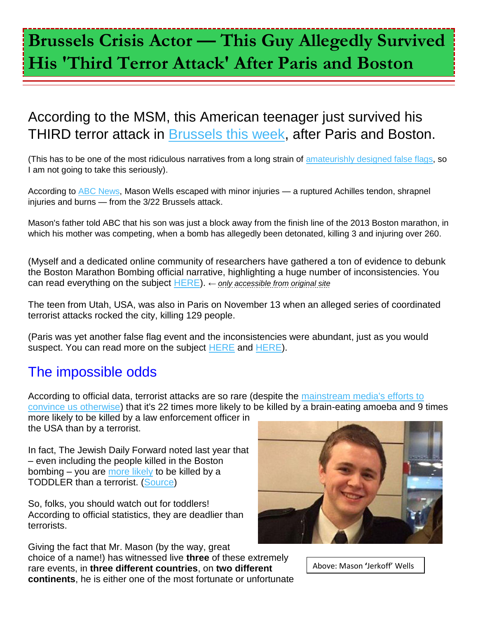## **Brussels Crisis Actor — This Guy Allegedly Survived His 'Third Terror Attack' After Paris and Boston**

## According to the MSM, this American teenager just survived his THIRD terror attack in [Brussels this week,](http://humansarefree.com/2016/03/operation-gladio-strikes-brussels-on.html) after Paris and Boston.

(This has to be one of the most ridiculous narratives from a long strain of [amateurishly designed false flags,](http://humansarefree.com/2015/09/why-are-elite-orchestrating-such.html) so I am not going to take this seriously).

According to **ABC News**, Mason Wells escaped with minor injuries — a ruptured Achilles tendon, shrapnel injuries and burns — from the 3/22 Brussels attack.

Mason's father told ABC that his son was just a block away from the finish line of the 2013 Boston marathon, in which his mother was competing, when a bomb has allegedly been detonated, killing 3 and injuring over 260.

(Myself and a dedicated online community of researchers have gathered a ton of evidence to debunk the Boston Marathon Bombing official narrative, highlighting a huge number of inconsistencies. You can read everything on the subject [HERE\)](http://humansarefree.com/2013/04/the-boston-bombing-is-inside-job.html). *← only accessible from original site*

The teen from Utah, USA, was also in Paris on November 13 when an alleged series of coordinated terrorist attacks rocked the city, killing 129 people.

(Paris was yet another false flag event and the inconsistencies were abundant, just as you would suspect. You can read more on the subject [HERE](http://humansarefree.com/2015/11/9-reasons-to-question-paris-terror.html) and [HERE\)](http://humansarefree.com/2015/11/the-paris-flase-flag-latest-news-you.html).

## The impossible odds

According to official data, terrorist attacks are so rare (despite the [mainstream media's efforts to](http://humansarefree.com/2015/11/4-examples-of-mainstream-media.html)  [convince us otherwise\)](http://humansarefree.com/2015/11/4-examples-of-mainstream-media.html) that it's 22 times more likely to be killed by a brain-eating amoeba and 9 times more likely to be killed by a law enforcement officer in

the USA than by a terrorist.

In fact, The Jewish Daily Forward noted last year that – even including the people killed in the Boston bombing  $-$  you are [more likely](http://forward.com/opinion/176043/more-killed-by-toddlers-than-terrorists-in-us/) to be killed by a TODDLER than a terrorist. [\(Source\)](http://www.globalresearch.ca/the-terrorism-statistics-every-american-needs-to-hear/5382818)

So, folks, you should watch out for toddlers! According to official statistics, they are deadlier than terrorists.

Giving the fact that Mr. Mason (by the way, great choice of a name!) has witnessed live **three** of these extremely rare events, in **three different countries**, on **two different continents**, he is either one of the most fortunate or unfortunate



Above: Mason **'**Jerkoff' Wells